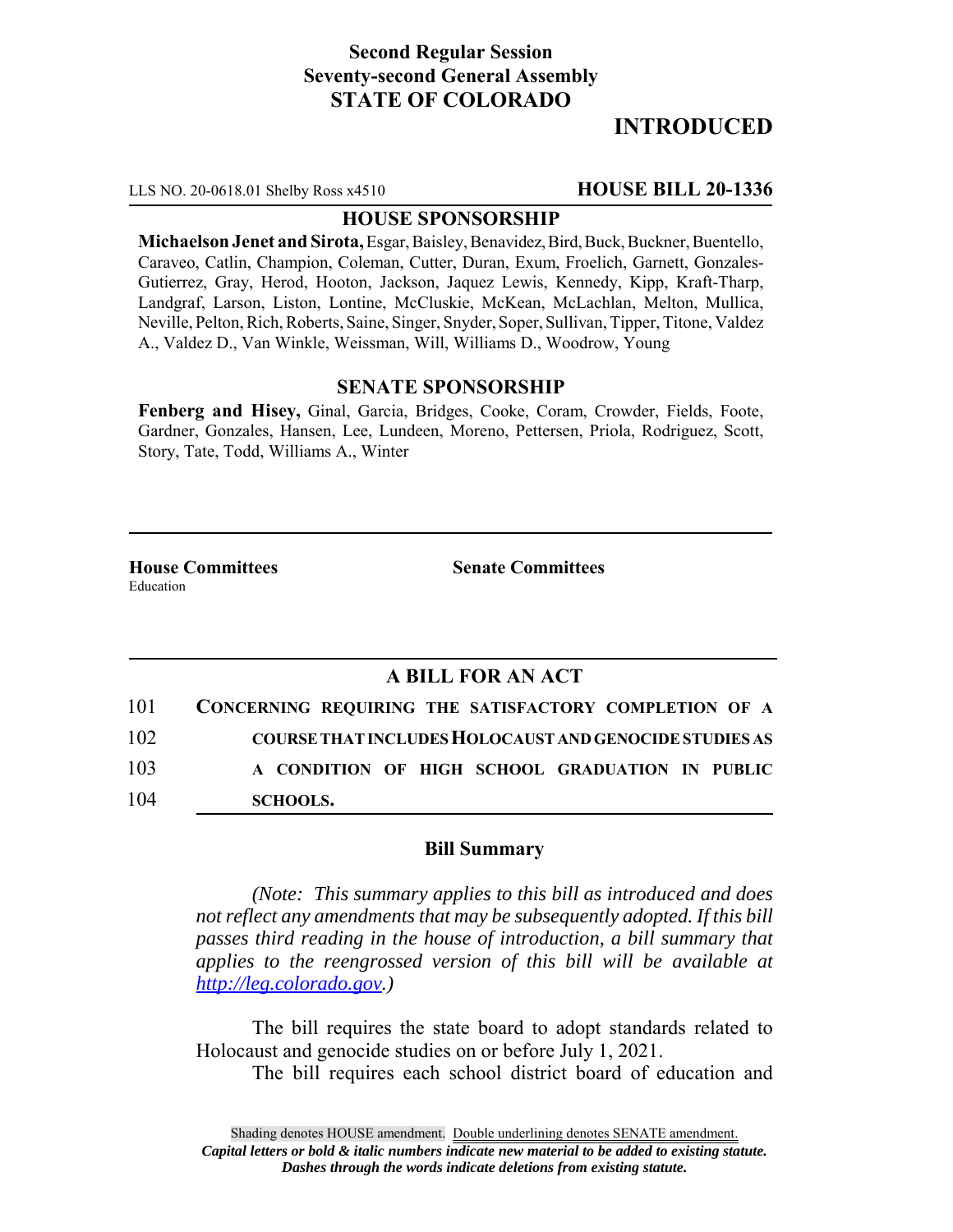## **Second Regular Session Seventy-second General Assembly STATE OF COLORADO**

# **INTRODUCED**

LLS NO. 20-0618.01 Shelby Ross x4510 **HOUSE BILL 20-1336**

#### **HOUSE SPONSORSHIP**

**Michaelson Jenet and Sirota,** Esgar, Baisley, Benavidez, Bird, Buck, Buckner, Buentello, Caraveo, Catlin, Champion, Coleman, Cutter, Duran, Exum, Froelich, Garnett, Gonzales-Gutierrez, Gray, Herod, Hooton, Jackson, Jaquez Lewis, Kennedy, Kipp, Kraft-Tharp, Landgraf, Larson, Liston, Lontine, McCluskie, McKean, McLachlan, Melton, Mullica, Neville, Pelton, Rich, Roberts, Saine, Singer, Snyder, Soper, Sullivan, Tipper, Titone, Valdez A., Valdez D., Van Winkle, Weissman, Will, Williams D., Woodrow, Young

### **SENATE SPONSORSHIP**

**Fenberg and Hisey,** Ginal, Garcia, Bridges, Cooke, Coram, Crowder, Fields, Foote, Gardner, Gonzales, Hansen, Lee, Lundeen, Moreno, Pettersen, Priola, Rodriguez, Scott, Story, Tate, Todd, Williams A., Winter

Education

**House Committees Senate Committees** 

## **A BILL FOR AN ACT**

| 101 | CONCERNING REQUIRING THE SATISFACTORY COMPLETION OF A  |
|-----|--------------------------------------------------------|
| 102 | COURSE THAT INCLUDES HOLOCAUST AND GENOCIDE STUDIES AS |
| 103 | A CONDITION OF HIGH SCHOOL GRADUATION IN PUBLIC        |
| 104 | <b>SCHOOLS.</b>                                        |

### **Bill Summary**

*(Note: This summary applies to this bill as introduced and does not reflect any amendments that may be subsequently adopted. If this bill passes third reading in the house of introduction, a bill summary that applies to the reengrossed version of this bill will be available at http://leg.colorado.gov.)*

The bill requires the state board to adopt standards related to Holocaust and genocide studies on or before July 1, 2021.

The bill requires each school district board of education and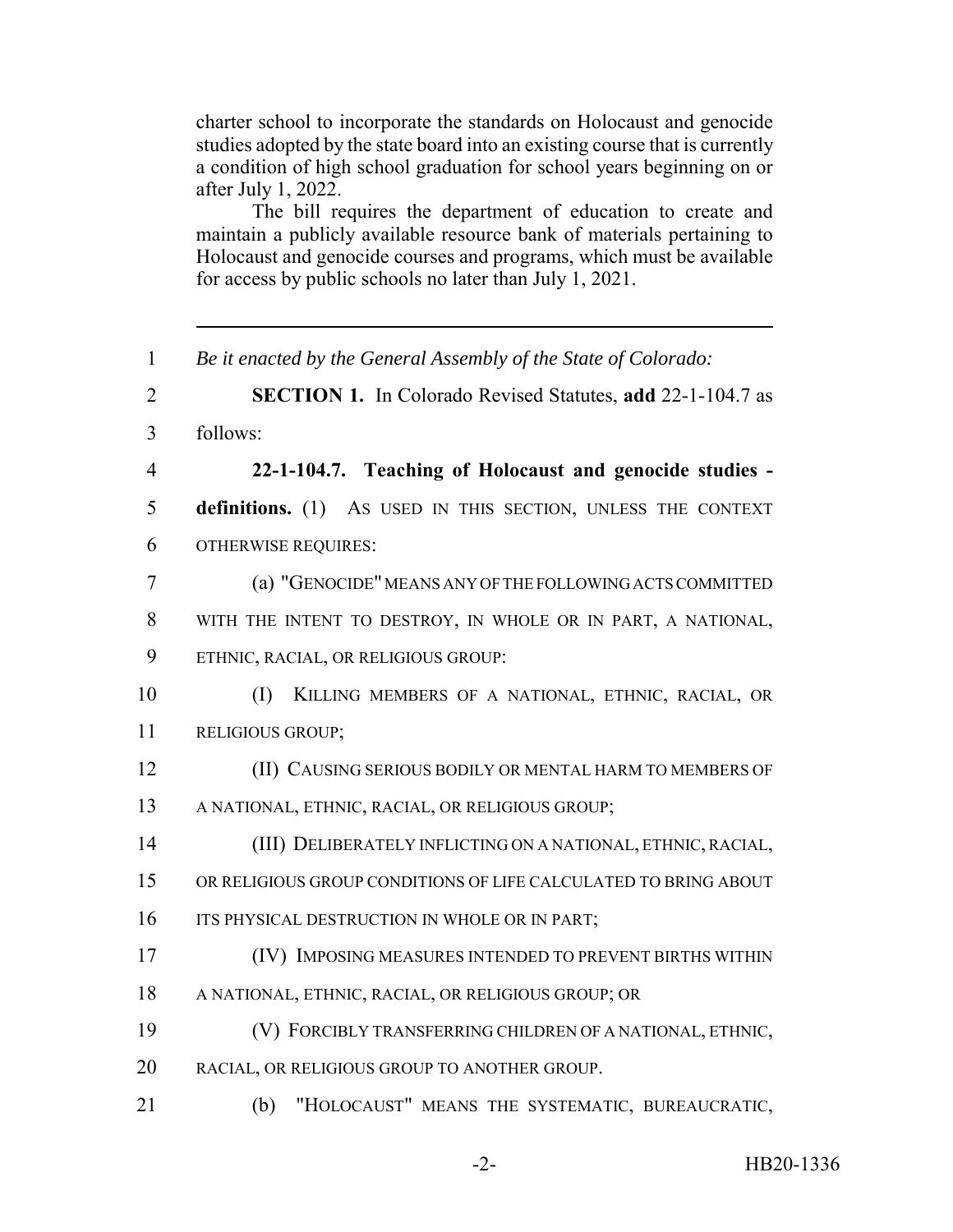charter school to incorporate the standards on Holocaust and genocide studies adopted by the state board into an existing course that is currently a condition of high school graduation for school years beginning on or after July 1, 2022.

The bill requires the department of education to create and maintain a publicly available resource bank of materials pertaining to Holocaust and genocide courses and programs, which must be available for access by public schools no later than July 1, 2021.

- *Be it enacted by the General Assembly of the State of Colorado:*
- **SECTION 1.** In Colorado Revised Statutes, **add** 22-1-104.7 as follows:

 **22-1-104.7. Teaching of Holocaust and genocide studies - definitions.** (1) AS USED IN THIS SECTION, UNLESS THE CONTEXT OTHERWISE REQUIRES:

- (a) "GENOCIDE" MEANS ANY OF THE FOLLOWING ACTS COMMITTED WITH THE INTENT TO DESTROY, IN WHOLE OR IN PART, A NATIONAL,
- ETHNIC, RACIAL, OR RELIGIOUS GROUP:
- (I) KILLING MEMBERS OF A NATIONAL, ETHNIC, RACIAL, OR RELIGIOUS GROUP;
- (II) CAUSING SERIOUS BODILY OR MENTAL HARM TO MEMBERS OF A NATIONAL, ETHNIC, RACIAL, OR RELIGIOUS GROUP;
- (III) DELIBERATELY INFLICTING ON A NATIONAL, ETHNIC, RACIAL,
- OR RELIGIOUS GROUP CONDITIONS OF LIFE CALCULATED TO BRING ABOUT
- 16 ITS PHYSICAL DESTRUCTION IN WHOLE OR IN PART;
- (IV) IMPOSING MEASURES INTENDED TO PREVENT BIRTHS WITHIN
- A NATIONAL, ETHNIC, RACIAL, OR RELIGIOUS GROUP; OR
- (V) FORCIBLY TRANSFERRING CHILDREN OF A NATIONAL, ETHNIC,
- RACIAL, OR RELIGIOUS GROUP TO ANOTHER GROUP.
- (b) "HOLOCAUST" MEANS THE SYSTEMATIC, BUREAUCRATIC,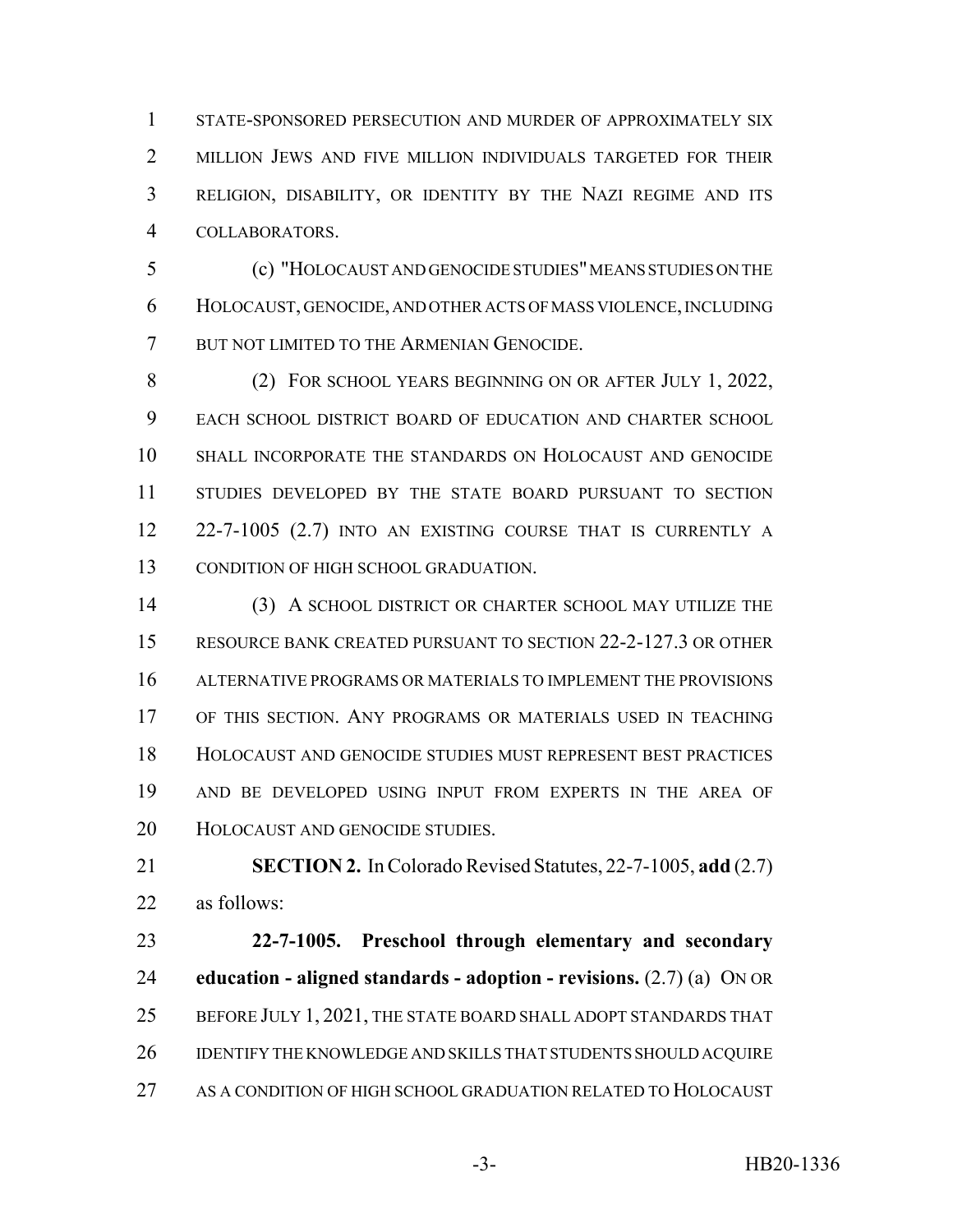STATE-SPONSORED PERSECUTION AND MURDER OF APPROXIMATELY SIX 2 MILLION JEWS AND FIVE MILLION INDIVIDUALS TARGETED FOR THEIR RELIGION, DISABILITY, OR IDENTITY BY THE NAZI REGIME AND ITS COLLABORATORS.

 (c) "HOLOCAUST AND GENOCIDE STUDIES" MEANS STUDIES ON THE HOLOCAUST, GENOCIDE, AND OTHER ACTS OF MASS VIOLENCE, INCLUDING BUT NOT LIMITED TO THE ARMENIAN GENOCIDE.

 (2) FOR SCHOOL YEARS BEGINNING ON OR AFTER JULY 1, 2022, EACH SCHOOL DISTRICT BOARD OF EDUCATION AND CHARTER SCHOOL SHALL INCORPORATE THE STANDARDS ON HOLOCAUST AND GENOCIDE STUDIES DEVELOPED BY THE STATE BOARD PURSUANT TO SECTION 22-7-1005 (2.7) INTO AN EXISTING COURSE THAT IS CURRENTLY A CONDITION OF HIGH SCHOOL GRADUATION.

 (3) A SCHOOL DISTRICT OR CHARTER SCHOOL MAY UTILIZE THE RESOURCE BANK CREATED PURSUANT TO SECTION 22-2-127.3 OR OTHER ALTERNATIVE PROGRAMS OR MATERIALS TO IMPLEMENT THE PROVISIONS OF THIS SECTION. ANY PROGRAMS OR MATERIALS USED IN TEACHING HOLOCAUST AND GENOCIDE STUDIES MUST REPRESENT BEST PRACTICES AND BE DEVELOPED USING INPUT FROM EXPERTS IN THE AREA OF HOLOCAUST AND GENOCIDE STUDIES.

 **SECTION 2.** In Colorado Revised Statutes, 22-7-1005, **add** (2.7) as follows:

 **22-7-1005. Preschool through elementary and secondary education - aligned standards - adoption - revisions.** (2.7) (a) ON OR 25 BEFORE JULY 1, 2021, THE STATE BOARD SHALL ADOPT STANDARDS THAT IDENTIFY THE KNOWLEDGE AND SKILLS THAT STUDENTS SHOULD ACQUIRE AS A CONDITION OF HIGH SCHOOL GRADUATION RELATED TO HOLOCAUST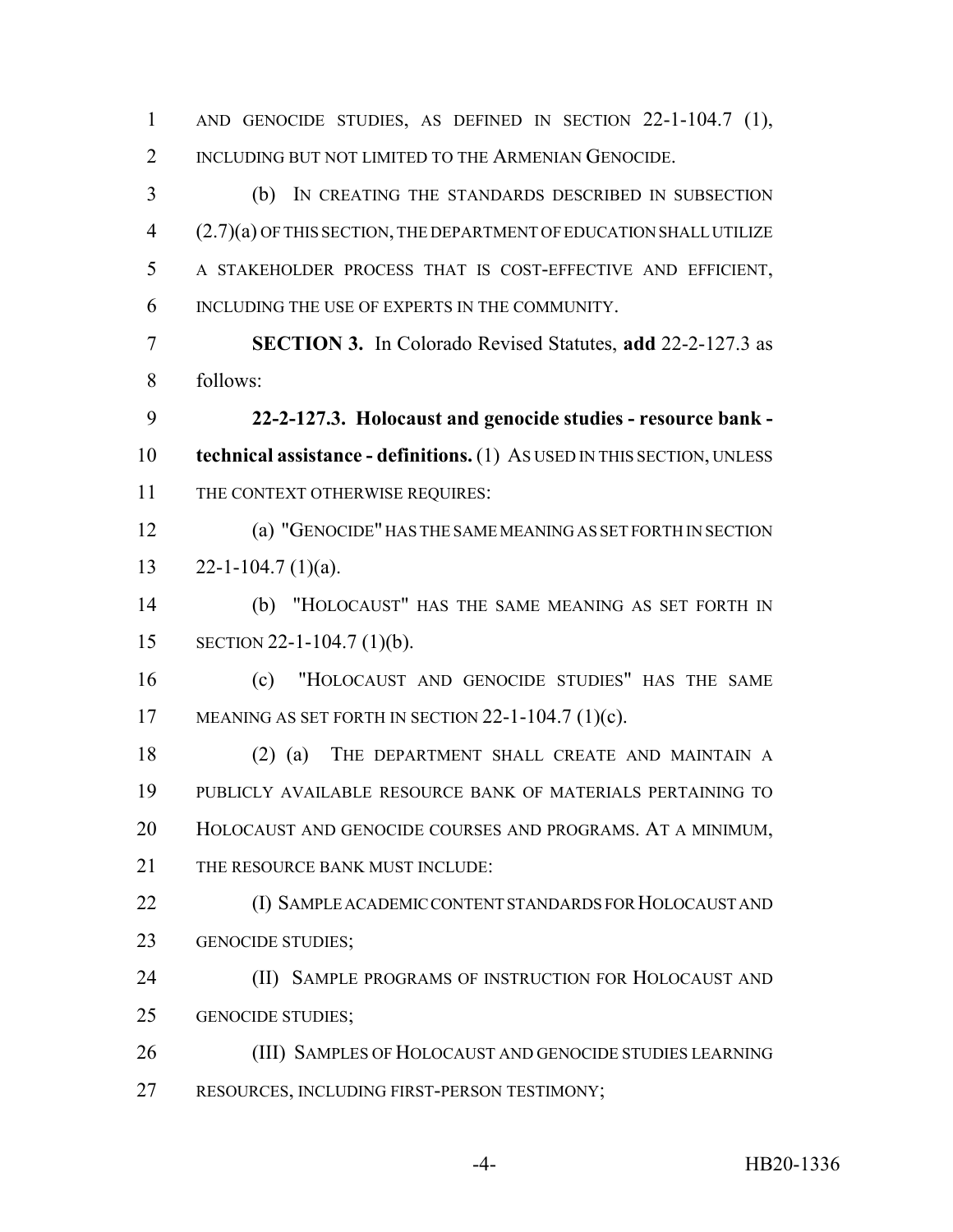AND GENOCIDE STUDIES, AS DEFINED IN SECTION 22-1-104.7 (1), 2 INCLUDING BUT NOT LIMITED TO THE ARMENIAN GENOCIDE. (b) IN CREATING THE STANDARDS DESCRIBED IN SUBSECTION (2.7)(a) OF THIS SECTION, THE DEPARTMENT OF EDUCATION SHALL UTILIZE A STAKEHOLDER PROCESS THAT IS COST-EFFECTIVE AND EFFICIENT, INCLUDING THE USE OF EXPERTS IN THE COMMUNITY. **SECTION 3.** In Colorado Revised Statutes, **add** 22-2-127.3 as follows: **22-2-127.3. Holocaust and genocide studies - resource bank - technical assistance - definitions.** (1) AS USED IN THIS SECTION, UNLESS 11 THE CONTEXT OTHERWISE REQUIRES: (a) "GENOCIDE" HAS THE SAME MEANING AS SET FORTH IN SECTION  $22 - 1 - 104.7$  (1)(a). (b) "HOLOCAUST" HAS THE SAME MEANING AS SET FORTH IN SECTION 22-1-104.7 (1)(b). (c) "HOLOCAUST AND GENOCIDE STUDIES" HAS THE SAME 17 MEANING AS SET FORTH IN SECTION 22-1-104.7 (1)(c). (2) (a) THE DEPARTMENT SHALL CREATE AND MAINTAIN A PUBLICLY AVAILABLE RESOURCE BANK OF MATERIALS PERTAINING TO HOLOCAUST AND GENOCIDE COURSES AND PROGRAMS. AT A MINIMUM, THE RESOURCE BANK MUST INCLUDE: (I) SAMPLE ACADEMIC CONTENT STANDARDS FOR HOLOCAUST AND GENOCIDE STUDIES; **(II) SAMPLE PROGRAMS OF INSTRUCTION FOR HOLOCAUST AND**  GENOCIDE STUDIES; (III) SAMPLES OF HOLOCAUST AND GENOCIDE STUDIES LEARNING RESOURCES, INCLUDING FIRST-PERSON TESTIMONY; -4- HB20-1336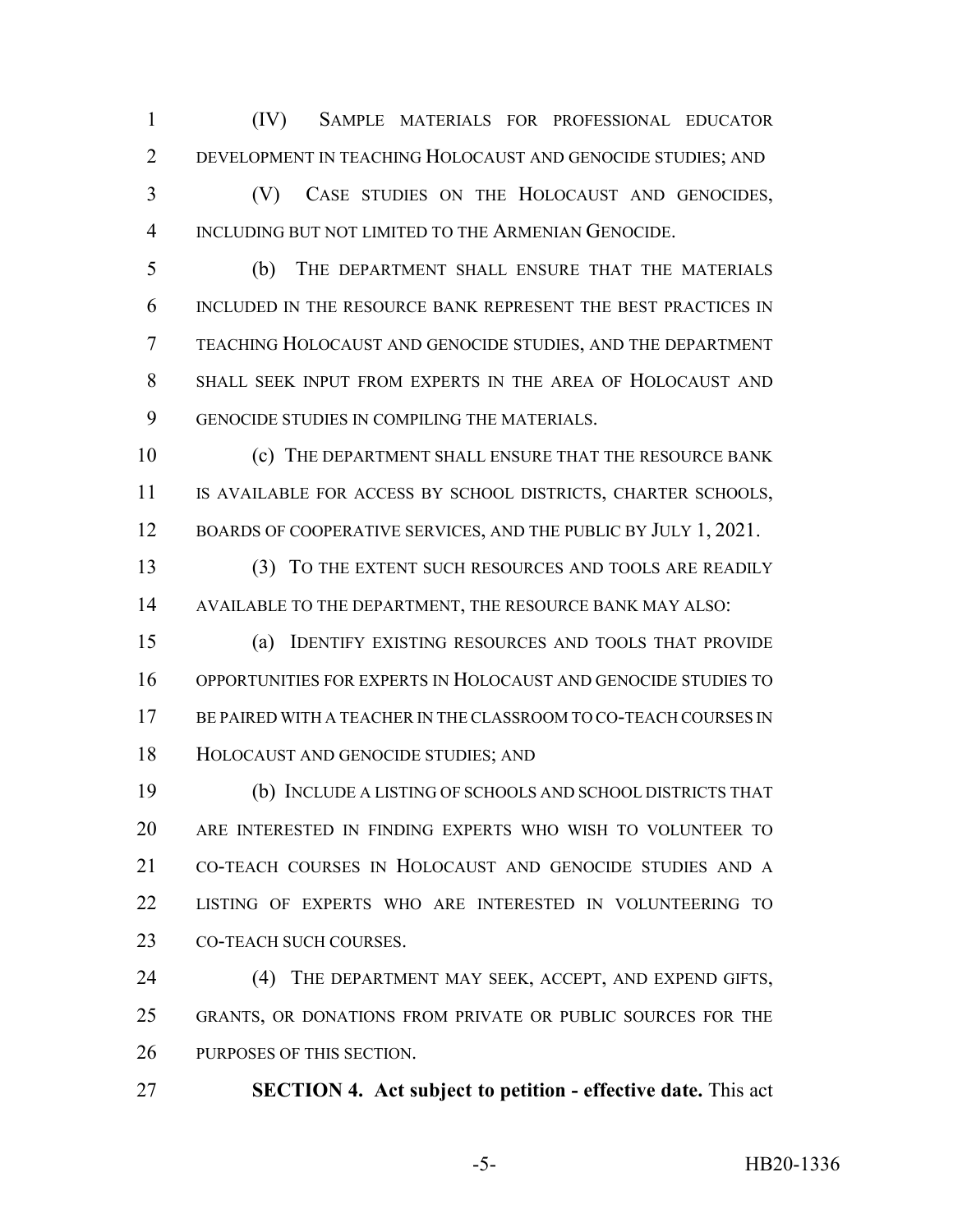(IV) SAMPLE MATERIALS FOR PROFESSIONAL EDUCATOR DEVELOPMENT IN TEACHING HOLOCAUST AND GENOCIDE STUDIES; AND

 (V) CASE STUDIES ON THE HOLOCAUST AND GENOCIDES, INCLUDING BUT NOT LIMITED TO THE ARMENIAN GENOCIDE.

 (b) THE DEPARTMENT SHALL ENSURE THAT THE MATERIALS INCLUDED IN THE RESOURCE BANK REPRESENT THE BEST PRACTICES IN TEACHING HOLOCAUST AND GENOCIDE STUDIES, AND THE DEPARTMENT SHALL SEEK INPUT FROM EXPERTS IN THE AREA OF HOLOCAUST AND GENOCIDE STUDIES IN COMPILING THE MATERIALS.

 (c) THE DEPARTMENT SHALL ENSURE THAT THE RESOURCE BANK 11 IS AVAILABLE FOR ACCESS BY SCHOOL DISTRICTS, CHARTER SCHOOLS, 12 BOARDS OF COOPERATIVE SERVICES, AND THE PUBLIC BY JULY 1, 2021.

13 (3) TO THE EXTENT SUCH RESOURCES AND TOOLS ARE READILY AVAILABLE TO THE DEPARTMENT, THE RESOURCE BANK MAY ALSO:

 (a) IDENTIFY EXISTING RESOURCES AND TOOLS THAT PROVIDE OPPORTUNITIES FOR EXPERTS IN HOLOCAUST AND GENOCIDE STUDIES TO BE PAIRED WITH A TEACHER IN THE CLASSROOM TO CO-TEACH COURSES IN HOLOCAUST AND GENOCIDE STUDIES; AND

 (b) INCLUDE A LISTING OF SCHOOLS AND SCHOOL DISTRICTS THAT ARE INTERESTED IN FINDING EXPERTS WHO WISH TO VOLUNTEER TO CO-TEACH COURSES IN HOLOCAUST AND GENOCIDE STUDIES AND A LISTING OF EXPERTS WHO ARE INTERESTED IN VOLUNTEERING TO CO-TEACH SUCH COURSES.

 (4) THE DEPARTMENT MAY SEEK, ACCEPT, AND EXPEND GIFTS, GRANTS, OR DONATIONS FROM PRIVATE OR PUBLIC SOURCES FOR THE PURPOSES OF THIS SECTION.

**SECTION 4. Act subject to petition - effective date.** This act